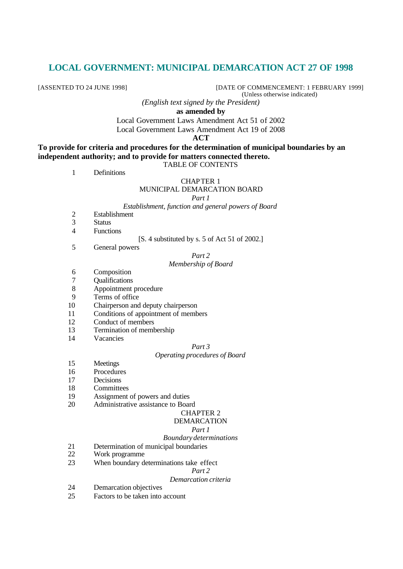# **LOCAL GOVERNMENT: MUNICIPAL DEMARCATION ACT 27 OF 1998**

[ASSENTED TO 24 JUNE 1998] [DATE OF COMMENCEMENT: 1 FEBRUARY 1999] (Unless otherwise indicated)

*(English text signed by the President)*

**as amended by**

Local Government Laws Amendment Act 51 of 2002

Local Government Laws Amendment Act 19 of 2008

**ACT**

**To provide for criteria and procedures for the determination of municipal boundaries by an independent authority; and to provide for matters connected thereto.** 

- 
- 1 Definitions

# TABLE OF CONTENTS

#### CHAPTER 1 MUNICIPAL DEMARCATION BOARD

*Part 1*

*Establishment, function and general powers of Board*

- 2 Establishment
- 3 Status
- 4 Functions

[S. 4 substituted by s. 5 of Act 51 of 2002.]

5 General powers

# *Part 2*

# *Membership of Board*

- 6 Composition
- 7 Qualifications
- 8 Appointment procedure
- 9 Terms of office
- 10 Chairperson and deputy chairperson
- 11 Conditions of appointment of members
- 12 Conduct of members
- 13 Termination of membership
- 14 Vacancies

# *Part 3*

#### *Operating procedures of Board*

- 15 Meetings
- 16 Procedures
- 17 Decisions
- 18 Committees
- 19 Assignment of powers and duties
- 20 Administrative assistance to Board

#### CHAPTER 2

# DEMARCATION

#### *Part 1*

# *Boundary determinations*

- 21 Determination of municipal boundaries<br>22 Work programme
- Work programme
- 23 When boundary determinations take effect

### *Part 2*

#### *Demarcation criteria*

- 24 Demarcation objectives
- 25 Factors to be taken into account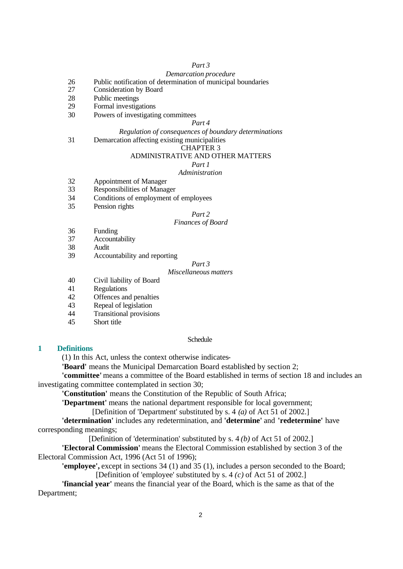# *Part 3*

#### *Demarcation procedure*

- 26 Public notification of determination of municipal boundaries<br>27 Consideration by Board
- Consideration by Board
- 28 Public meetings
- 29 Formal investigations
- 30 Powers of investigating committees

#### *Part 4*

*Regulation of consequences of boundary determinations*

31 Demarcation affecting existing municipalities

#### CHAPTER 3

#### ADMINISTRATIVE AND OTHER MATTERS

*Part 1*

#### *Administration*

- 32 Appointment of Manager
- 33 Responsibilities of Manager
- 34 Conditions of employment of employees
- 35 Pension rights

### *Part 2*

### *Finances of Board*

- 36 Funding
- 37 Accountability
- 38 Audit
- 39 Accountability and reporting

# *Part 3*

#### *Miscellaneous matters*

- 40 Civil liability of Board
- 41 Regulations
- 42 Offences and penalties
- 43 Repeal of legislation
- 44 Transitional provisions
- 45 Short title

#### Schedule

#### **1 Definitions**

(1) In this Act, unless the context otherwise indicates-

**'Board'** means the Municipal Demarcation Board established by section 2;

**'committee'** means a committee of the Board established in terms of section 18 and includes an investigating committee contemplated in section 30;

**'Constitution'** means the Constitution of the Republic of South Africa;

**'Department'** means the national department responsible for local government;

[Definition of 'Department' substituted by s. 4 *(a)* of Act 51 of 2002.]

**'determination'** includes any redetermination, and **'determine'** and **'redetermine'** have corresponding meanings;

[Definition of 'determination' substituted by s. 4 *(b)* of Act 51 of 2002.]

**'Electoral Commission'** means the Electoral Commission established by section 3 of the Electoral Commission Act, 1996 (Act 51 of 1996);

**'employee',** except in sections 34 (1) and 35 (1), includes a person seconded to the Board; [Definition of 'employee' substituted by s. 4 *(c)* of Act 51 of 2002.]

**'financial year'** means the financial year of the Board, which is the same as that of the Department;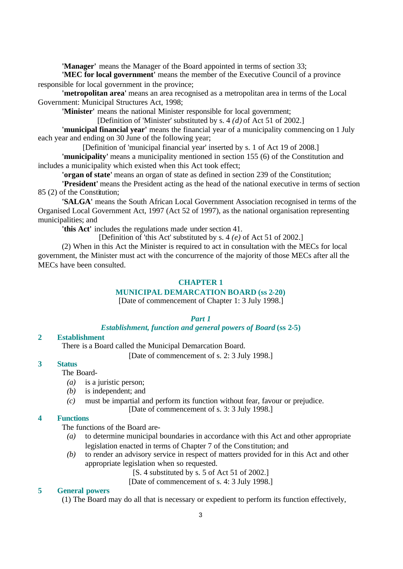**'Manager'** means the Manager of the Board appointed in terms of section 33;

**'MEC for local government'** means the member of the Executive Council of a province responsible for local government in the province;

**'metropolitan area'** means an area recognised as a metropolitan area in terms of the Local Government: Municipal Structures Act, 1998;

**'Minister'** means the national Minister responsible for local government;

[Definition of 'Minister' substituted by s. 4 *(d)* of Act 51 of 2002.]

**'municipal financial year'** means the financial year of a municipality commencing on 1 July each year and ending on 30 June of the following year;

[Definition of 'municipal financial year' inserted by s. 1 of Act 19 of 2008.]

**'municipality'** means a municipality mentioned in section 155 (6) of the Constitution and includes a municipality which existed when this Act took effect;

**'organ of state'** means an organ of state as defined in section 239 of the Constitution;

**'President'** means the President acting as the head of the national executive in terms of section 85 (2) of the Constitution;

**'SALGA'** means the South African Local Government Association recognised in terms of the Organised Local Government Act, 1997 (Act 52 of 1997), as the national organisation representing municipalities; and

**'this Act'** includes the regulations made under section 41.

[Definition of 'this Act' substituted by s. 4 *(e)* of Act 51 of 2002.]

(2) When in this Act the Minister is required to act in consultation with the MECs for local government, the Minister must act with the concurrence of the majority of those MECs after all the MECs have been consulted.

#### **CHAPTER 1**

# **MUNICIPAL DEMARCATION BOARD (ss 2-20)**

[Date of commencement of Chapter 1: 3 July 1998.]

#### *Part 1*

#### *Establishment, function and general powers of Board* **(ss 2-5)**

# **2 Establishment**

There is a Board called the Municipal Demarcation Board.

[Date of commencement of s. 2: 3 July 1998.]

#### **3 Status**

The Board-

- *(a)* is a juristic person;
- *(b)* is independent; and
- *(c)* must be impartial and perform its function without fear, favour or prejudice. [Date of commencement of s. 3: 3 July 1998.]

### **4 Functions**

The functions of the Board are-

- *(a)* to determine municipal boundaries in accordance with this Act and other appropriate legislation enacted in terms of Chapter 7 of the Constitution; and
- *(b)* to render an advisory service in respect of matters provided for in this Act and other appropriate legislation when so requested.

[S. 4 substituted by s. 5 of Act 51 of 2002.]

[Date of commencement of s. 4: 3 July 1998.]

#### **5 General powers**

(1) The Board may do all that is necessary or expedient to perform its function effectively,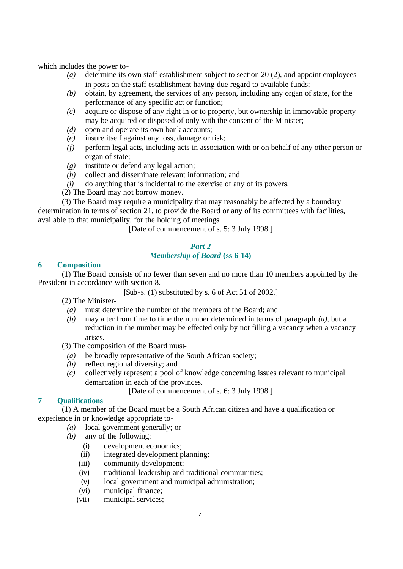which includes the power to-

- *(a)* determine its own staff establishment subject to section 20 (2), and appoint employees in posts on the staff establishment having due regard to available funds;
- *(b)* obtain, by agreement, the services of any person, including any organ of state, for the performance of any specific act or function;
- *(c)* acquire or dispose of any right in or to property, but ownership in immovable property may be acquired or disposed of only with the consent of the Minister;
- *(d)* open and operate its own bank accounts;
- *(e)* insure itself against any loss, damage or risk;
- *(f)* perform legal acts, including acts in association with or on behalf of any other person or organ of state;
- *(g)* institute or defend any legal action;
- *(h)* collect and disseminate relevant information; and
- *(i)* do anything that is incidental to the exercise of any of its powers.
- (2) The Board may not borrow money.

(3) The Board may require a municipality that may reasonably be affected by a boundary determination in terms of section 21, to provide the Board or any of its committees with facilities, available to that municipality, for the holding of meetings.

[Date of commencement of s. 5: 3 July 1998.]

### *Part 2 Membership of Board* **(ss 6-14)**

# **6 Composition**

(1) The Board consists of no fewer than seven and no more than 10 members appointed by the President in accordance with section 8.

[Sub-s. (1) substituted by s. 6 of Act 51 of 2002.]

(2) The Minister-

- *(a)* must determine the number of the members of the Board; and
- *(b)* may alter from time to time the number determined in terms of paragraph *(a)*, but a reduction in the number may be effected only by not filling a vacancy when a vacancy arises.

(3) The composition of the Board must-

- *(a)* be broadly representative of the South African society;
- *(b)* reflect regional diversity; and
- *(c)* collectively represent a pool of knowledge concerning issues relevant to municipal demarcation in each of the provinces.

[Date of commencement of s. 6: 3 July 1998.]

# **7 Qualifications**

(1) A member of the Board must be a South African citizen and have a qualification or experience in or knowledge appropriate to-

- *(a)* local government generally; or
- *(b)* any of the following:
	- (i) development economics;
	- (ii) integrated development planning;
	- (iii) community development;
	- (iv) traditional leadership and traditional communities;
	- (v) local government and municipal administration;
	- (vi) municipal finance;
	- (vii) municipal services;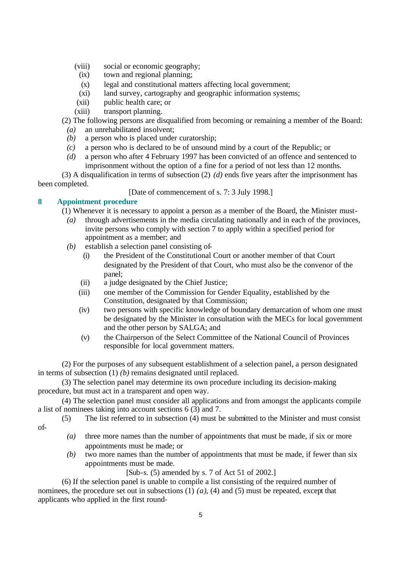- (viii) social or economic geography;
	- (ix) town and regional planning;
	- (x) legal and constitutional matters affecting local government;
	- (xi) land survey, cartography and geographic information systems;
- (xii) public health care; or
- (xiii) transport planning.

(2) The following persons are disqualified from becoming or remaining a member of the Board:

- *(a)* an unrehabilitated insolvent;
- *(b)* a person who is placed under curatorship;
- *(c)* a person who is declared to be of unsound mind by a court of the Republic; or
- *(d)* a person who after 4 February 1997 has been convicted of an offence and sentenced to imprisonment without the option of a fine for a period of not less than 12 months.

(3) A disqualification in terms of subsection (2) *(d)* ends five years after the imprisonment has been completed.

[Date of commencement of s. 7: 3 July 1998.]

# **8 Appointment procedure**

of-

(1) Whenever it is necessary to appoint a person as a member of the Board, the Minister must-

- *(a)* through advertisements in the media circulating nationally and in each of the provinces, invite persons who comply with section 7 to apply within a specified period for appointment as a member; and
- *(b)* establish a selection panel consisting of-
	- (i) the President of the Constitutional Court or another member of that Court designated by the President of that Court, who must also be the convenor of the panel;
	- (ii) a judge designated by the Chief Justice;
	- (iii) one member of the Commission for Gender Equality, established by the Constitution, designated by that Commission;
	- (iv) two persons with specific knowledge of boundary demarcation of whom one must be designated by the Minister in consultation with the MECs for local government and the other person by SALGA; and
	- (v) the Chairperson of the Select Committee of the National Council of Provinces responsible for local government matters.

(2) For the purposes of any subsequent establishment of a selection panel, a person designated in terms of subsection (1) *(b)* remains designated until replaced.

(3) The selection panel may determine its own procedure including its decision-making procedure, but must act in a transparent and open way.

(4) The selection panel must consider all applications and from amongst the applicants compile a list of nominees taking into account sections 6 (3) and 7.

(5) The list referred to in subsection (4) must be submitted to the Minister and must consist

- *(a)* three more names than the number of appointments that must be made, if six or more appointments must be made; or
- *(b)* two more names than the number of appointments that must be made, if fewer than six appointments must be made.

[Sub-s. (5) amended by s. 7 of Act 51 of 2002.]

(6) If the selection panel is unable to compile a list consisting of the required number of nominees, the procedure set out in subsections  $(1)$   $(a)$ ,  $(4)$  and  $(5)$  must be repeated, except that applicants who applied in the first round-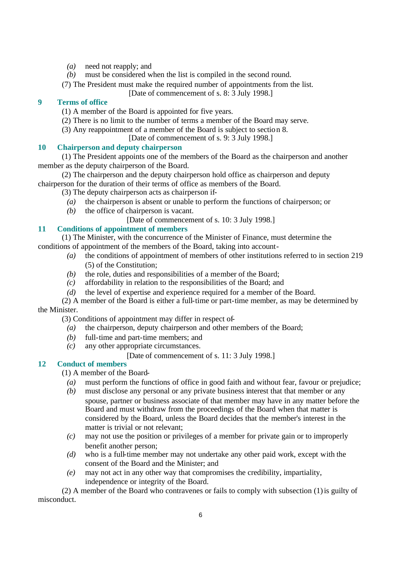- *(a)* need not reapply; and
- *(b)* must be considered when the list is compiled in the second round.
- (7) The President must make the required number of appointments from the list.

[Date of commencement of s. 8: 3 July 1998.]

# **9 Terms of office**

- (1) A member of the Board is appointed for five years.
- (2) There is no limit to the number of terms a member of the Board may serve.
- (3) Any reappointment of a member of the Board is subject to section 8.
	- [Date of commencement of s. 9: 3 July 1998.]

# **10 Chairperson and deputy chairperson**

(1) The President appoints one of the members of the Board as the chairperson and another member as the deputy chairperson of the Board.

(2) The chairperson and the deputy chairperson hold office as chairperson and deputy chairperson for the duration of their terms of office as members of the Board.

(3) The deputy chairperson acts as chairperson if-

- *(a)* the chairperson is absent or unable to perform the functions of chairperson; or
- *(b)* the office of chairperson is vacant.
	- [Date of commencement of s. 10: 3 July 1998.]

# **11 Conditions of appointment of members**

(1) The Minister, with the concurrence of the Minister of Finance, must determine the conditions of appointment of the members of the Board, taking into account-

- *(a)* the conditions of appointment of members of other institutions referred to in section 219 (5) of the Constitution;
- *(b)* the role, duties and responsibilities of a member of the Board;
- *(c)* affordability in relation to the responsibilities of the Board; and
- *(d)* the level of expertise and experience required for a member of the Board.
- (2) A member of the Board is either a full-time or part-time member, as may be determined by the Minister.

(3) Conditions of appointment may differ in respect of-

- *(a)* the chairperson, deputy chairperson and other members of the Board;
- *(b)* full-time and part-time members; and
- *(c)* any other appropriate circumstances.
	- [Date of commencement of s. 11: 3 July 1998.]

### **12 Conduct of members**

(1) A member of the Board-

- *(a)* must perform the functions of office in good faith and without fear, favour or prejudice;
- *(b)* must disclose any personal or any private business interest that that member or any spouse, partner or business associate of that member may have in any matter before the Board and must withdraw from the proceedings of the Board when that matter is considered by the Board, unless the Board decides that the member's interest in the matter is trivial or not relevant;
- *(c)* may not use the position or privileges of a member for private gain or to improperly benefit another person;
- *(d)* who is a full-time member may not undertake any other paid work, except with the consent of the Board and the Minister; and
- *(e)* may not act in any other way that compromises the credibility, impartiality, independence or integrity of the Board.

(2) A member of the Board who contravenes or fails to comply with subsection (1) is guilty of misconduct.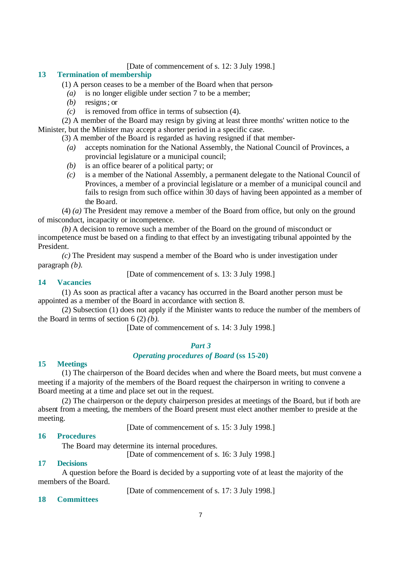#### [Date of commencement of s. 12: 3 July 1998.]

# **13 Termination of membership**

(1) A person ceases to be a member of the Board when that person-

- *(a)* is no longer eligible under section 7 to be a member;
- *(b)* resigns; or
- *(c)* is removed from office in terms of subsection (4).

(2) A member of the Board may resign by giving at least three months' written notice to the Minister, but the Minister may accept a shorter period in a specific case.

(3) A member of the Board is regarded as having resigned if that member-

- *(a)* accepts nomination for the National Assembly, the National Council of Provinces, a provincial legislature or a municipal council;
- *(b)* is an office bearer of a political party; or
- *(c)* is a member of the National Assembly, a permanent delegate to the National Council of Provinces, a member of a provincial legislature or a member of a municipal council and fails to resign from such office within 30 days of having been appointed as a member of the Board.

(4) *(a)* The President may remove a member of the Board from office, but only on the ground of misconduct, incapacity or incompetence.

*(b)* A decision to remove such a member of the Board on the ground of misconduct or incompetence must be based on a finding to that effect by an investigating tribunal appointed by the President.

*(c)* The President may suspend a member of the Board who is under investigation under paragraph *(b)*.

[Date of commencement of s. 13: 3 July 1998.]

#### **14 Vacancies**

(1) As soon as practical after a vacancy has occurred in the Board another person must be appointed as a member of the Board in accordance with section 8.

(2) Subsection (1) does not apply if the Minister wants to reduce the number of the members of the Board in terms of section 6 (2) *(b)*.

[Date of commencement of s. 14: 3 July 1998.]

# *Part 3*

### *Operating procedures of Board* **(ss 15-20)**

#### **15 Meetings**

(1) The chairperson of the Board decides when and where the Board meets, but must convene a meeting if a majority of the members of the Board request the chairperson in writing to convene a Board meeting at a time and place set out in the request.

(2) The chairperson or the deputy chairperson presides at meetings of the Board, but if both are absent from a meeting, the members of the Board present must elect another member to preside at the meeting.

[Date of commencement of s. 15: 3 July 1998.]

#### **16 Procedures**

The Board may determine its internal procedures.

[Date of commencement of s. 16: 3 July 1998.]

### **17 Decisions**

A question before the Board is decided by a supporting vote of at least the majority of the members of the Board.

[Date of commencement of s. 17: 3 July 1998.]

### **18 Committees**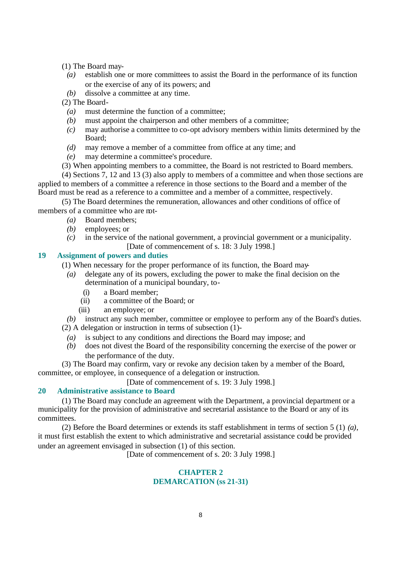(1) The Board may-

- *(a)* establish one or more committees to assist the Board in the performance of its function or the exercise of any of its powers; and
- *(b)* dissolve a committee at any time.

(2) The Board-

- *(a)* must determine the function of a committee;
- *(b)* must appoint the chairperson and other members of a committee;
- *(c)* may authorise a committee to co-opt advisory members within limits determined by the Board;
- *(d)* may remove a member of a committee from office at any time; and
- *(e)* may determine a committee's procedure.
- (3) When appointing members to a committee, the Board is not restricted to Board members.

(4) Sections 7, 12 and 13 (3) also apply to members of a committee and when those sections are applied to members of a committee a reference in those sections to the Board and a member of the Board must be read as a reference to a committee and a member of a committee, respectively.

(5) The Board determines the remuneration, allowances and other conditions of office of

members of a committee who are not- *(a)* Board members;

- 
- *(b)* employees; or
- *(c)* in the service of the national government, a provincial government or a municipality. [Date of commencement of s. 18: 3 July 1998.]

# **19 Assignment of powers and duties**

(1) When necessary for the proper performance of its function, the Board may-

- *(a)* delegate any of its powers, excluding the power to make the final decision on the determination of a municipal boundary, to-
	- (i) a Board member;
	- (ii) a committee of the Board; or
	- (iii) an employee; or

*(b)* instruct any such member, committee or employee to perform any of the Board's duties.

- (2) A delegation or instruction in terms of subsection (1)-
	- *(a)* is subject to any conditions and directions the Board may impose; and
	- *(b)* does not divest the Board of the responsibility concerning the exercise of the power or the performance of the duty.

(3) The Board may confirm, vary or revoke any decision taken by a member of the Board, committee, or employee, in consequence of a delegation or instruction.

[Date of commencement of s. 19: 3 July 1998.]

# **20 Administrative assistance to Board**

(1) The Board may conclude an agreement with the Department, a provincial department or a municipality for the provision of administrative and secretarial assistance to the Board or any of its committees.

(2) Before the Board determines or extends its staff establishment in terms of section 5 (1) *(a)*, it must first establish the extent to which administrative and secretarial assistance could be provided under an agreement envisaged in subsection (1) of this section.

[Date of commencement of s. 20: 3 July 1998.]

# **CHAPTER 2 DEMARCATION (ss 21-31)**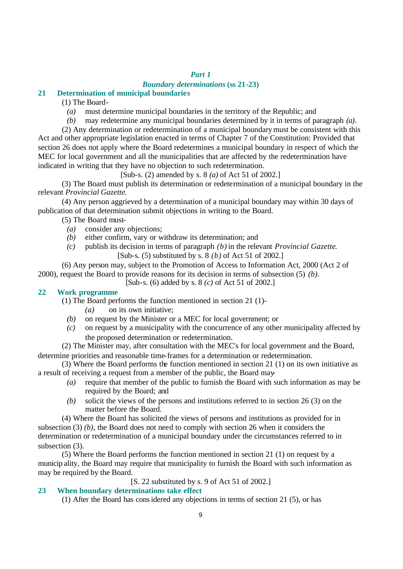### *Part 1*

### *Boundary determinations* **(ss 21-23)**

# **21 Determination of municipal boundaries**

- (1) The Board-
	- *(a)* must determine municipal boundaries in the territory of the Republic; and

*(b)* may redetermine any municipal boundaries determined by it in terms of paragraph *(a)*.

(2) Any determination or redetermination of a municipal boundary must be consistent with this Act and other appropriate legislation enacted in terms of Chapter 7 of the Constitution: Provided that section 26 does not apply where the Board redetermines a municipal boundary in respect of which the MEC for local government and all the municipalities that are affected by the redetermination have indicated in writing that they have no objection to such redetermination.

[Sub-s. (2) amended by s. 8 *(a)* of Act 51 of 2002.]

(3) The Board must publish its determination or redetermination of a municipal boundary in the relevant *Provincial Gazette*.

(4) Any person aggrieved by a determination of a municipal boundary may within 30 days of publication of that determination submit objections in writing to the Board.

(5) The Board must-

- *(a)* consider any objections;
- *(b)* either confirm, vary or withdraw its determination; and
- *(c)* publish its decision in terms of paragraph *(b)* in the relevant *Provincial Gazette*. [Sub-s. (5) substituted by s. 8 *(b)* of Act 51 of 2002.]

(6) Any person may, subject to the Promotion of Access to Information Act, 2000 (Act 2 of 2000), request the Board to provide reasons for its decision in terms of subsection (5) *(b)*.

[Sub-s. (6) added by s. 8 *(c)* of Act 51 of 2002.]

# **22 Work programme**

(1) The Board performs the function mentioned in section 21 (1)-

- *(a)* on its own initiative;
- *(b)* on request by the Minister or a MEC for local government; or
- *(c)* on request by a municipality with the concurrence of any other municipality affected by the proposed determination or redetermination.

(2) The Minister may, after consultation with the MEC's for local government and the Board, determine priorities and reasonable time-frames for a determination or redetermination.

(3) Where the Board performs the function mentioned in section 21 (1) on its own initiative as a result of receiving a request from a member of the public, the Board may-

- *(a)* require that member of the public to furnish the Board with such information as may be required by the Board; and
- *(b)* solicit the views of the persons and institutions referred to in section 26 (3) on the matter before the Board.

(4) Where the Board has solicited the views of persons and institutions as provided for in subsection (3) *(b)*, the Board does not need to comply with section 26 when it considers the determination or redetermination of a municipal boundary under the circumstances referred to in subsection  $(3)$ .

(5) Where the Board performs the function mentioned in section 21 (1) on request by a municip ality, the Board may require that municipality to furnish the Board with such information as may be required by the Board.

[S. 22 substituted by s. 9 of Act 51 of 2002.]

### **23 When boundary determinations take effect**

(1) After the Board has considered any objections in terms of section 21 (5), or has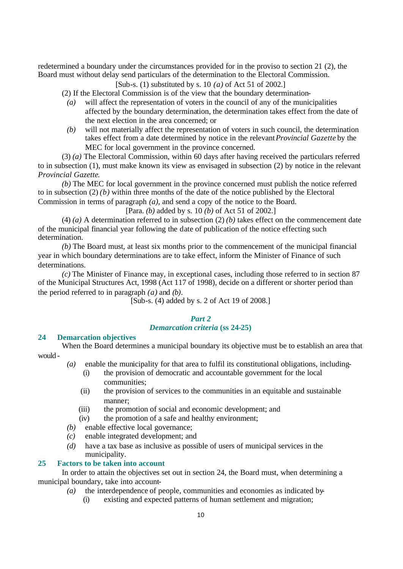redetermined a boundary under the circumstances provided for in the proviso to section 21 (2), the Board must without delay send particulars of the determination to the Electoral Commission.

[Sub-s. (1) substituted by s. 10 *(a)* of Act 51 of 2002.]

(2) If the Electoral Commission is of the view that the boundary determination-

- *(a)* will affect the representation of voters in the council of any of the municipalities affected by the boundary determination, the determination takes effect from the date of the next election in the area concerned; or
- *(b)* will not materially affect the representation of voters in such council, the determination takes effect from a date determined by notice in the relevant*Provincial Gazette* by the MEC for local government in the province concerned.

(3) *(a)* The Electoral Commission, within 60 days after having received the particulars referred to in subsection (1), must make known its view as envisaged in subsection (2) by notice in the relevant *Provincial Gazette*.

*(b)* The MEC for local government in the province concerned must publish the notice referred to in subsection (2) *(b)* within three months of the date of the notice published by the Electoral Commission in terms of paragraph *(a)*, and send a copy of the notice to the Board.

[Para. *(b)* added by s. 10 *(b)* of Act 51 of 2002.]

(4) (a) A determination referred to in subsection  $(2)$  (b) takes effect on the commencement date of the municipal financial year following the date of publication of the notice effecting such determination.

*(b)* The Board must, at least six months prior to the commencement of the municipal financial year in which boundary determinations are to take effect, inform the Minister of Finance of such determinations.

*(c)* The Minister of Finance may, in exceptional cases, including those referred to in section 87 of the Municipal Structures Act, 1998 (Act 117 of 1998), decide on a different or shorter period than the period referred to in paragraph *(a)* and *(b)*.

[Sub-s. (4) added by s. 2 of Act 19 of 2008.]

# *Part 2 Demarcation criteria* **(ss 24-25)**

#### **24 Demarcation objectives**

When the Board determines a municipal boundary its objective must be to establish an area that would -

- *(a)* enable the municipality for that area to fulfil its constitutional obligations, including-
	- (i) the provision of democratic and accountable government for the local communities;
	- (ii) the provision of services to the communities in an equitable and sustainable manner;
	- (iii) the promotion of social and economic development; and
	- (iv) the promotion of a safe and healthy environment;
- *(b)* enable effective local governance;
- *(c)* enable integrated development; and
- *(d)* have a tax base as inclusive as possible of users of municipal services in the municipality.

# **25 Factors to be taken into account**

In order to attain the objectives set out in section 24, the Board must, when determining a municipal boundary, take into account-

- *(a)* the interdependence of people, communities and economies as indicated by-
	- (i) existing and expected patterns of human settlement and migration;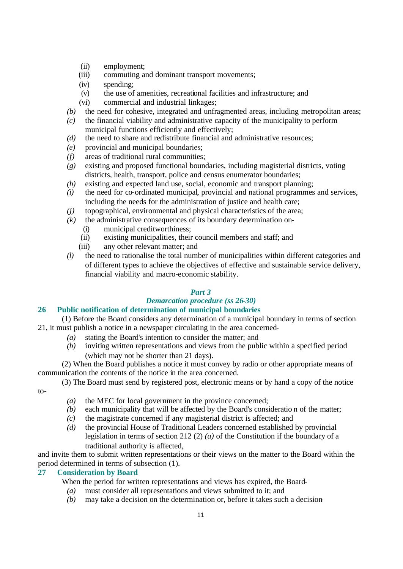- (ii) employment;
- (iii) commuting and dominant transport movements;
- (iv) spending;
- (v) the use of amenities, recreational facilities and infrastructure; and
- (vi) commercial and industrial linkages;
- *(b)* the need for cohesive, integrated and unfragmented areas, including metropolitan areas;
- *(c)* the financial viability and administrative capacity of the municipality to perform municipal functions efficiently and effectively;
- *(d)* the need to share and redistribute financial and administrative resources;
- *(e)* provincial and municipal boundaries;
- *(f)* areas of traditional rural communities;
- *(g)* existing and proposed functional boundaries, including magisterial districts, voting districts, health, transport, police and census enumerator boundaries;
- *(h)* existing and expected land use, social, economic and transport planning;
- *(i)* the need for co-ordinated municipal, provincial and national programmes and services, including the needs for the administration of justice and health care;
- *(j)* topographical, environmental and physical characteristics of the area;
- *(k)* the administrative consequences of its boundary determination on-
	- (i) municipal creditworthiness;
	- (ii) existing municipalities, their council members and staff; and
	- (iii) any other relevant matter; and
- *(l)* the need to rationalise the total number of municipalities within different categories and of different types to achieve the objectives of effective and sustainable service delivery, financial viability and macro-economic stability.

# *Part 3*

# *Demarcation procedure (ss 26-30)*

# **26 Public notification of determination of municipal boundaries**

(1) Before the Board considers any determination of a municipal boundary in terms of section 21, it must publish a notice in a newspaper circulating in the area concerned-

- *(a)* stating the Board's intention to consider the matter; and
- *(b)* inviting written representations and views from the public within a specified period (which may not be shorter than 21 days).

(2) When the Board publishes a notice it must convey by radio or other appropriate means of communication the contents of the notice in the area concerned.

(3) The Board must send by registered post, electronic means or by hand a copy of the notice

 $t_0$ -

- *(a)* the MEC for local government in the province concerned;
- *(b)* each municipality that will be affected by the Board's consideratio n of the matter;
- *(c)* the magistrate concerned if any magisterial district is affected; and
- *(d)* the provincial House of Traditional Leaders concerned established by provincial legislation in terms of section 212 (2) *(a)* of the Constitution if the boundary of a traditional authority is affected,

and invite them to submit written representations or their views on the matter to the Board within the period determined in terms of subsection (1).

# **27 Consideration by Board**

When the period for written representations and views has expired, the Board-

- *(a)* must consider all representations and views submitted to it; and
- *(b)* may take a decision on the determination or, before it takes such a decision-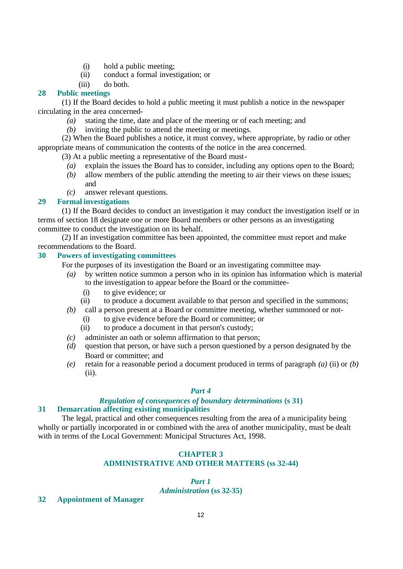- (i) hold a public meeting;
- (ii) conduct a formal investigation; or
- (iii) do both.

# **28 Public meetings**

(1) If the Board decides to hold a public meeting it must publish a notice in the newspaper circulating in the area concerned-

- *(a)* stating the time, date and place of the meeting or of each meeting; and
- *(b)* inviting the public to attend the meeting or meetings.

(2) When the Board publishes a notice, it must convey, where appropriate, by radio or other appropriate means of communication the contents of the notice in the area concerned.

(3) At a public meeting a representative of the Board must-

- *(a)* explain the issues the Board has to consider, including any options open to the Board;
- *(b)* allow members of the public attending the meeting to air their views on these issues; and
- *(c)* answer relevant questions.

# **29 Formal investigations**

(1) If the Board decides to conduct an investigation it may conduct the investigation itself or in terms of section 18 designate one or more Board members or other persons as an investigating committee to conduct the investigation on its behalf.

(2) If an investigation committee has been appointed, the committee must report and make recommendations to the Board.

# **30 Powers of investigating committees**

For the purposes of its investigation the Board or an investigating committee may-

- *(a)* by written notice summon a person who in its opinion has information which is material to the investigation to appear before the Board or the committee-
	- (i) to give evidence; or
	- (ii) to produce a document available to that person and specified in the summons;
- *(b)* call a person present at a Board or committee meeting, whether summoned or not-
	- (i) to give evidence before the Board or committee; or
	- (ii) to produce a document in that person's custody;
- *(c)* administer an oath or solemn affirmation to that person;
- *(d)* question that person, or have such a person questioned by a person designated by the Board or committee; and
- *(e)* retain for a reasonable period a document produced in terms of paragraph *(a)* (ii) or *(b)*  (ii).

# *Part 4*

# *Regulation of consequences of boundary determinations* **(s 31)**

# **31 Demarcation affecting existing municipalities**

The legal, practical and other consequences resulting from the area of a municipality being wholly or partially incorporated in or combined with the area of another municipality, must be dealt with in terms of the Local Government: Municipal Structures Act, 1998.

# **CHAPTER 3**

# **ADMINISTRATIVE AND OTHER MATTERS (ss 32-44)**

# *Part 1*

# *Administration* **(ss 32-35)**

# **32 Appointment of Manager**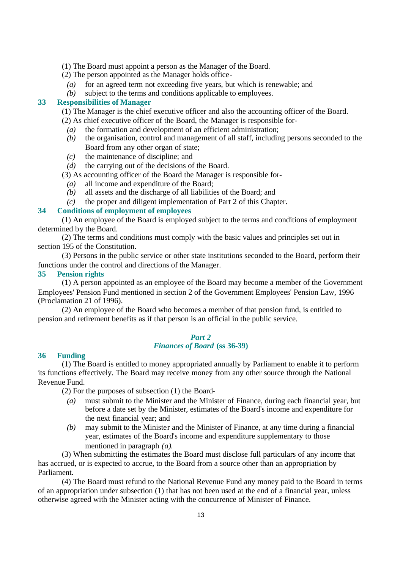- (1) The Board must appoint a person as the Manager of the Board.
- (2) The person appointed as the Manager holds office-
	- *(a)* for an agreed term not exceeding five years, but which is renewable; and
- *(b)* subject to the terms and conditions applicable to employees.

### **33 Responsibilities of Manager**

- (1) The Manager is the chief executive officer and also the accounting officer of the Board.
- (2) As chief executive officer of the Board, the Manager is responsible for-
	- *(a)* the formation and development of an efficient administration;
	- *(b)* the organisation, control and management of all staff, including persons seconded to the Board from any other organ of state;
	- *(c)* the maintenance of discipline; and
- *(d)* the carrying out of the decisions of the Board.

(3) As accounting officer of the Board the Manager is responsible for-

- *(a)* all income and expenditure of the Board;
- *(b)* all assets and the discharge of all liabilities of the Board; and
- *(c)* the proper and diligent implementation of Part 2 of this Chapter.

# **34 Conditions of employment of employees**

(1) An employee of the Board is employed subject to the terms and conditions of employment determined by the Board.

(2) The terms and conditions must comply with the basic values and principles set out in section 195 of the Constitution.

(3) Persons in the public service or other state institutions seconded to the Board, perform their functions under the control and directions of the Manager.

#### **35 Pension rights**

(1) A person appointed as an employee of the Board may become a member of the Government Employees' Pension Fund mentioned in section 2 of the Government Employees' Pension Law, 1996 (Proclamation 21 of 1996).

(2) An employee of the Board who becomes a member of that pension fund, is entitled to pension and retirement benefits as if that person is an official in the public service.

# *Part 2 Finances of Board* **(ss 36-39)**

#### **36 Funding**

(1) The Board is entitled to money appropriated annually by Parliament to enable it to perform its functions effectively. The Board may receive money from any other source through the National Revenue Fund.

(2) For the purposes of subsection (1) the Board-

- *(a)* must submit to the Minister and the Minister of Finance, during each financial year, but before a date set by the Minister, estimates of the Board's income and expenditure for the next financial year; and
- *(b)* may submit to the Minister and the Minister of Finance, at any time during a financial year, estimates of the Board's income and expenditure supplementary to those mentioned in paragraph *(a)*.

(3) When submitting the estimates the Board must disclose full particulars of any income that has accrued, or is expected to accrue, to the Board from a source other than an appropriation by Parliament.

(4) The Board must refund to the National Revenue Fund any money paid to the Board in terms of an appropriation under subsection (1) that has not been used at the end of a financial year, unless otherwise agreed with the Minister acting with the concurrence of Minister of Finance.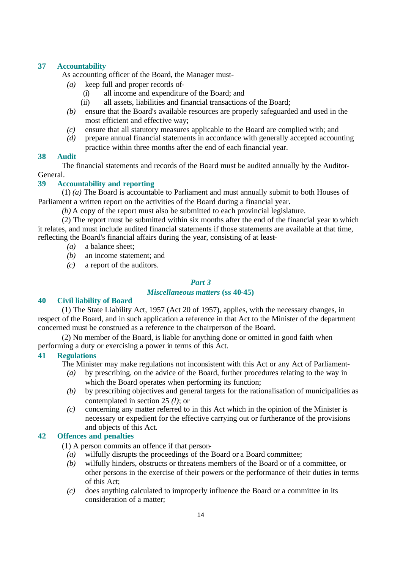# **37 Accountability**

As accounting officer of the Board, the Manager must-

- *(a)* keep full and proper records of-
	- (i) all income and expenditure of the Board; and
	- (ii) all assets, liabilities and financial transactions of the Board;
- *(b)* ensure that the Board's available resources are properly safeguarded and used in the most efficient and effective way;
- *(c)* ensure that all statutory measures applicable to the Board are complied with; and
- *(d)* prepare annual financial statements in accordance with generally accepted accounting practice within three months after the end of each financial year.

# **38 Audit**

The financial statements and records of the Board must be audited annually by the Auditor-

# General.

# **39 Accountability and reporting**

(1) *(a)* The Board is accountable to Parliament and must annually submit to both Houses of Parliament a written report on the activities of the Board during a financial year.

*(b)* A copy of the report must also be submitted to each provincial legislature.

(2) The report must be submitted within six months after the end of the financial year to which it relates, and must include audited financial statements if those statements are available at that time, reflecting the Board's financial affairs during the year, consisting of at least-

- *(a)* a balance sheet;
- *(b)* an income statement; and
- *(c)* a report of the auditors.

#### *Part 3*

# *Miscellaneous matters* **(ss 40-45)**

### **40 Civil liability of Board**

(1) The State Liability Act, 1957 (Act 20 of 1957), applies, with the necessary changes, in respect of the Board, and in such application a reference in that Act to the Minister of the department concerned must be construed as a reference to the chairperson of the Board.

(2) No member of the Board, is liable for anything done or omitted in good faith when performing a duty or exercising a power in terms of this Act.

# **41 Regulations**

The Minister may make regulations not inconsistent with this Act or any Act of Parliament-

- *(a)* by prescribing, on the advice of the Board, further procedures relating to the way in which the Board operates when performing its function;
- *(b)* by prescribing objectives and general targets for the rationalisation of municipalities as contemplated in section 25 *(l)*; or
- *(c)* concerning any matter referred to in this Act which in the opinion of the Minister is necessary or expedient for the effective carrying out or furtherance of the provisions and objects of this Act.

# **42 Offences and penalties**

(1) A person commits an offence if that person-

- *(a)* wilfully disrupts the proceedings of the Board or a Board committee;
- *(b)* wilfully hinders, obstructs or threatens members of the Board or of a committee, or other persons in the exercise of their powers or the performance of their duties in terms of this Act;
- *(c)* does anything calculated to improperly influence the Board or a committee in its consideration of a matter;